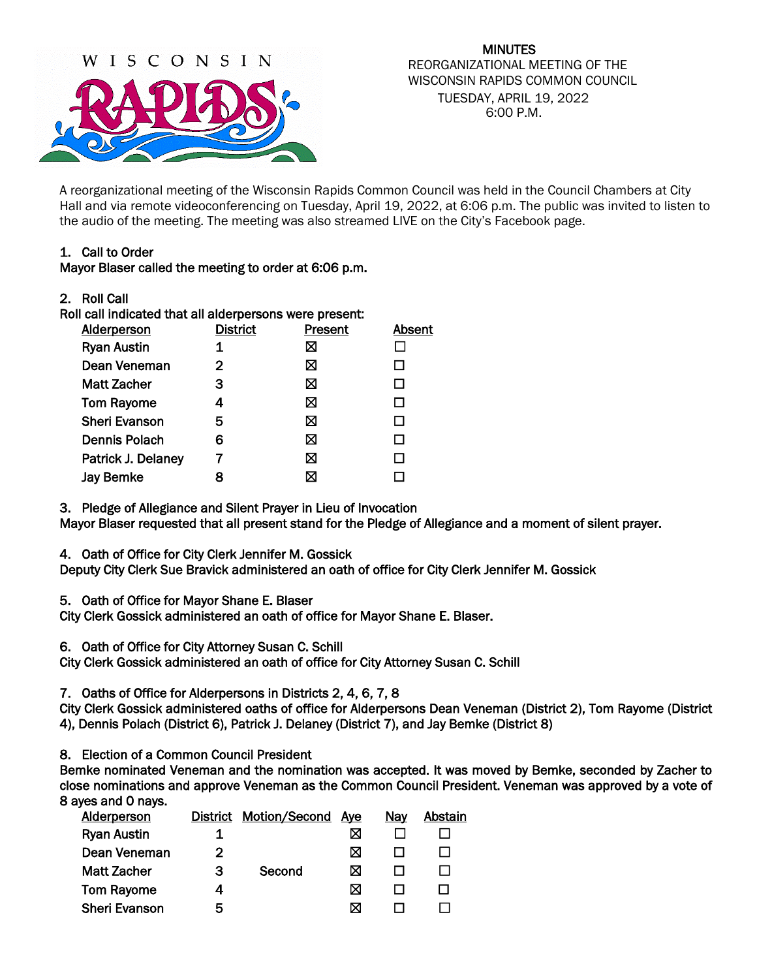

MINUTES REORGANIZATIONAL MEETING OF THE WISCONSIN RAPIDS COMMON COUNCIL TUESDAY, APRIL 19, 2022 6:00 P.M.

A reorganizational meeting of the Wisconsin Rapids Common Council was held in the Council Chambers at City Hall and via remote videoconferencing on Tuesday, April 19, 2022, at 6:06 p.m. The public was invited to listen to the audio of the meeting. The meeting was also streamed LIVE on the City's Facebook page.

# 1. Call to Order

### Mayor Blaser called the meeting to order at 6:06 p.m.

2. Roll Call

Roll call indicated that all alderpersons were present:

| <b>Alderperson</b>   | <b>District</b> | Present | Absent |
|----------------------|-----------------|---------|--------|
| <b>Ryan Austin</b>   |                 | ⊠       |        |
| Dean Veneman         | 2               | ⊠       |        |
| <b>Matt Zacher</b>   | З               | ⊠       |        |
| <b>Tom Rayome</b>    | 4               | ⊠       |        |
| <b>Sheri Evanson</b> | 5               | ⊠       | ΙI     |
| <b>Dennis Polach</b> | 6               | ⊠       | ΙI     |
| Patrick J. Delaney   |                 | ⊠       |        |
| <b>Jay Bemke</b>     | 8               | ⊠       |        |

3. Pledge of Allegiance and Silent Prayer in Lieu of Invocation Mayor Blaser requested that all present stand for the Pledge of Allegiance and a moment of silent prayer.

4. Oath of Office for City Clerk Jennifer M. Gossick

Deputy City Clerk Sue Bravick administered an oath of office for City Clerk Jennifer M. Gossick

5. Oath of Office for Mayor Shane E. Blaser

City Clerk Gossick administered an oath of office for Mayor Shane E. Blaser.

6. Oath of Office for City Attorney Susan C. Schill

City Clerk Gossick administered an oath of office for City Attorney Susan C. Schill

7. Oaths of Office for Alderpersons in Districts 2, 4, 6, 7, 8

City Clerk Gossick administered oaths of office for Alderpersons Dean Veneman (District 2), Tom Rayome (District 4), Dennis Polach (District 6), Patrick J. Delaney (District 7), and Jay Bemke (District 8)

8. Election of a Common Council President

Bemke nominated Veneman and the nomination was accepted. It was moved by Bemke, seconded by Zacher to close nominations and approve Veneman as the Common Council President. Veneman was approved by a vote of 8 ayes and 0 nays.

| <b>Alderperson</b>   | <b>District</b> | <b>Motion/Second</b> | Ave | Nay | Abstain |
|----------------------|-----------------|----------------------|-----|-----|---------|
| <b>Ryan Austin</b>   |                 |                      | ⊠   |     |         |
| Dean Veneman         | 2               |                      | ⊠   |     |         |
| <b>Matt Zacher</b>   | З               | Second               | ⋈   |     |         |
| <b>Tom Rayome</b>    |                 |                      | ⊠   |     |         |
| <b>Sheri Evanson</b> | 5               |                      | ⋈   |     |         |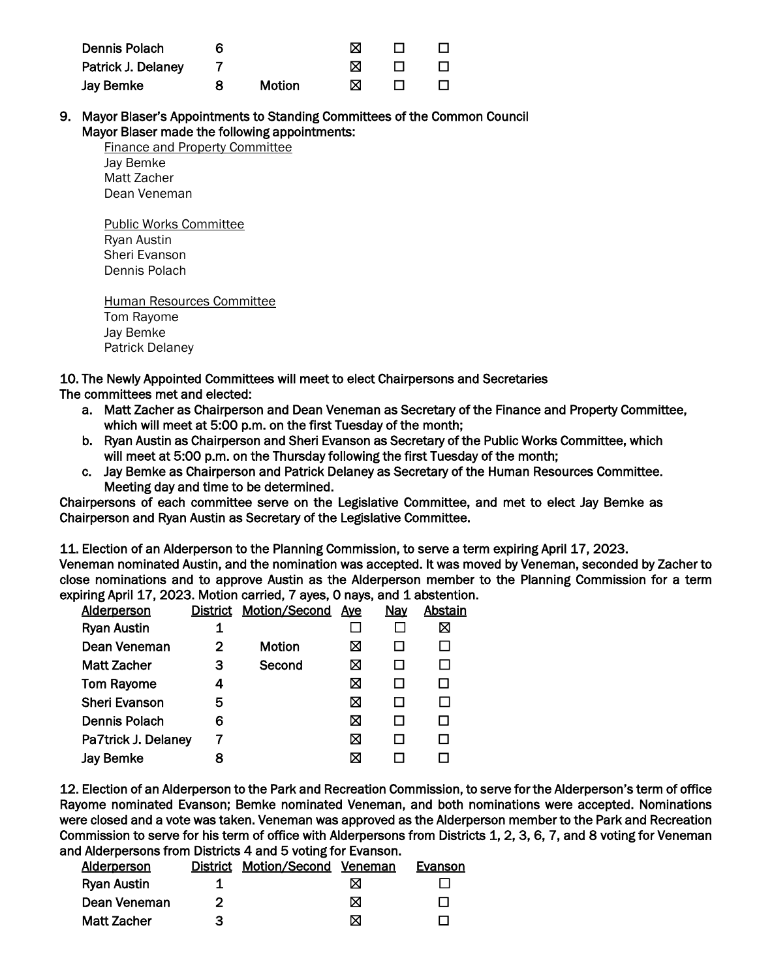| Dennis Polach      |               |   |  |
|--------------------|---------------|---|--|
| Patrick J. Delaney |               |   |  |
| Jay Bemke          | <b>Motion</b> | ⋈ |  |

9. Mayor Blaser's Appointments to Standing Committees of the Common Council Mayor Blaser made the following appointments:

Finance and Property Committee Jay Bemke Matt Zacher Dean Veneman

Public Works Committee Ryan Austin Sheri Evanson Dennis Polach

Human Resources Committee Tom Rayome Jay Bemke Patrick Delaney

10. The Newly Appointed Committees will meet to elect Chairpersons and Secretaries

# The committees met and elected:

- a. Matt Zacher as Chairperson and Dean Veneman as Secretary of the Finance and Property Committee, which will meet at 5:00 p.m. on the first Tuesday of the month;
- b. Ryan Austin as Chairperson and Sheri Evanson as Secretary of the Public Works Committee, which will meet at 5:00 p.m. on the Thursday following the first Tuesday of the month;
- c. Jay Bemke as Chairperson and Patrick Delaney as Secretary of the Human Resources Committee. Meeting day and time to be determined.

Chairpersons of each committee serve on the Legislative Committee, and met to elect Jay Bemke as Chairperson and Ryan Austin as Secretary of the Legislative Committee.

11. Election of an Alderperson to the Planning Commission, to serve a term expiring April 17, 2023. Veneman nominated Austin, and the nomination was accepted. It was moved by Veneman, seconded by Zacher to close nominations and to approve Austin as the Alderperson member to the Planning Commission for a term expiring April 17, 2023. Motion carried, 7 ayes, 0 nays, and 1 abstention.

| <b>Alderperson</b>   |   | <b>District Motion/Second</b> | <u>Aye</u> | <b>Nay</b> | Abstain |
|----------------------|---|-------------------------------|------------|------------|---------|
| <b>Ryan Austin</b>   |   |                               |            |            | ⊠       |
| Dean Veneman         | 2 | Motion                        | ⊠          |            |         |
| <b>Matt Zacher</b>   | з | Second                        | ⊠          |            |         |
| <b>Tom Rayome</b>    | 4 |                               | ⊠          |            |         |
| <b>Sheri Evanson</b> | 5 |                               | ⊠          |            |         |
| Dennis Polach        | 6 |                               | ⊠          |            |         |
| Pa7trick J. Delaney  |   |                               | ⊠          |            |         |
| Jay Bemke            |   |                               | ⊠          |            |         |
|                      |   |                               |            |            |         |

12. Election of an Alderperson to the Park and Recreation Commission, to serve for the Alderperson's term of office Rayome nominated Evanson; Bemke nominated Veneman, and both nominations were accepted. Nominations were closed and a vote was taken. Veneman was approved as the Alderperson member to the Park and Recreation Commission to serve for his term of office with Alderpersons from Districts 1, 2, 3, 6, 7, and 8 voting for Veneman and Alderpersons from Districts 4 and 5 voting for Evanson.

| Alderperson        | District | Motion/Second Veneman |   | Evanson |
|--------------------|----------|-----------------------|---|---------|
| <b>Ryan Austin</b> |          |                       | ⋈ |         |
| Dean Veneman       |          |                       | ⋈ |         |
| Matt Zacher        | З        |                       | ⋈ |         |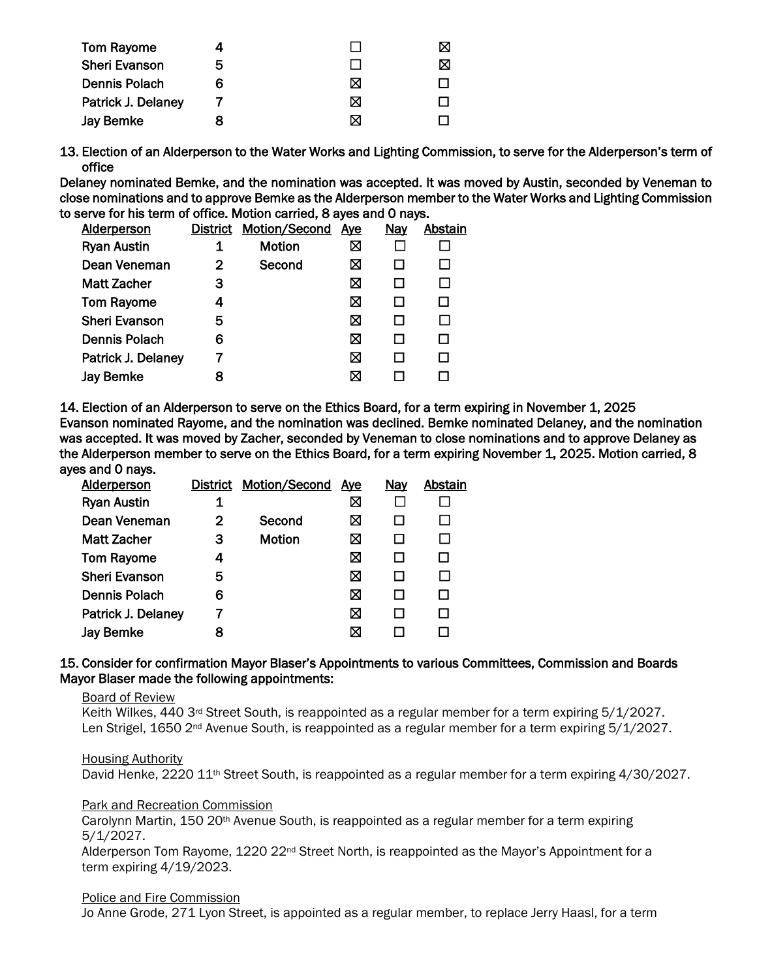| Tom Rayome           |   |   |  |
|----------------------|---|---|--|
| <b>Sheri Evanson</b> | b |   |  |
| <b>Dennis Polach</b> | 6 | ⋈ |  |
| Patrick J. Delaney   |   | ⋈ |  |
| Jay Bemke            |   |   |  |

13. Election of an Alderperson to the Water Works and Lighting Commission, to serve for the Alderperson's term of office

Delaney nominated Bemke, and the nomination was accepted. It was moved by Austin, seconded by Veneman to close nominations and to approve Bemke as the Alderperson member to the Water Works and Lighting Commission to serve for his term of office. Motion carried, 8 ayes and 0 nays.

| <b>Alderperson</b>   | District | <b>Motion/Second</b> | <u>Aye</u> | Nay | Abstain |
|----------------------|----------|----------------------|------------|-----|---------|
| <b>Ryan Austin</b>   |          | <b>Motion</b>        | ⊠          |     |         |
| Dean Veneman         | 2        | Second               | ⊠          |     |         |
| <b>Matt Zacher</b>   | 3        |                      | ⊠          |     |         |
| <b>Tom Rayome</b>    | 4        |                      | ⊠          |     |         |
| <b>Sheri Evanson</b> | 5        |                      | ⊠          |     |         |
| Dennis Polach        | 6        |                      | ⊠          |     |         |
| Patrick J. Delaney   |          |                      | ⊠          |     |         |
| <b>Jay Bemke</b>     |          |                      | ⊠          |     |         |

14. Election of an Alderperson to serve on the Ethics Board, for a term expiring in November 1, 2025 Evanson nominated Rayome, and the nomination was declined. Bemke nominated Delaney, and the nomination was accepted. It was moved by Zacher, seconded by Veneman to close nominations and to approve Delaney as the Alderperson member to serve on the Ethics Board, for a term expiring November 1, 2025. Motion carried, 8 ayes and 0 nays.

|   |               |   | <u>Nay</u>                 | Abstain |
|---|---------------|---|----------------------------|---------|
| 1 |               | ⊠ |                            |         |
| 2 | Second        | ⊠ |                            |         |
| З | <b>Motion</b> | ⋈ |                            |         |
| 4 |               | ⊠ |                            |         |
| 5 |               | ⊠ |                            |         |
| 6 |               | ⊠ |                            |         |
|   |               | ⊠ |                            |         |
| 8 |               | ⊠ |                            |         |
|   |               |   | District Motion/Second Aye |         |

### 15. Consider for confirmation Mayor Blaser's Appointments to various Committees, Commission and Boards Mayor Blaser made the following appointments:

#### Board of Review

Keith Wilkes, 440 3<sup>rd</sup> Street South, is reappointed as a regular member for a term expiring 5/1/2027. Len Strigel, 1650 2<sup>nd</sup> Avenue South, is reappointed as a regular member for a term expiring 5/1/2027.

Housing Authority

David Henke, 2220 11<sup>th</sup> Street South, is reappointed as a regular member for a term expiring 4/30/2027.

#### Park and Recreation Commission

Carolynn Martin, 150 20th Avenue South, is reappointed as a regular member for a term expiring 5/1/2027.

Alderperson Tom Rayome, 1220 22nd Street North, is reappointed as the Mayor's Appointment for a term expiring 4/19/2023.

#### Police and Fire Commission

Jo Anne Grode, 271 Lyon Street, is appointed as a regular member, to replace Jerry Haasl, for a term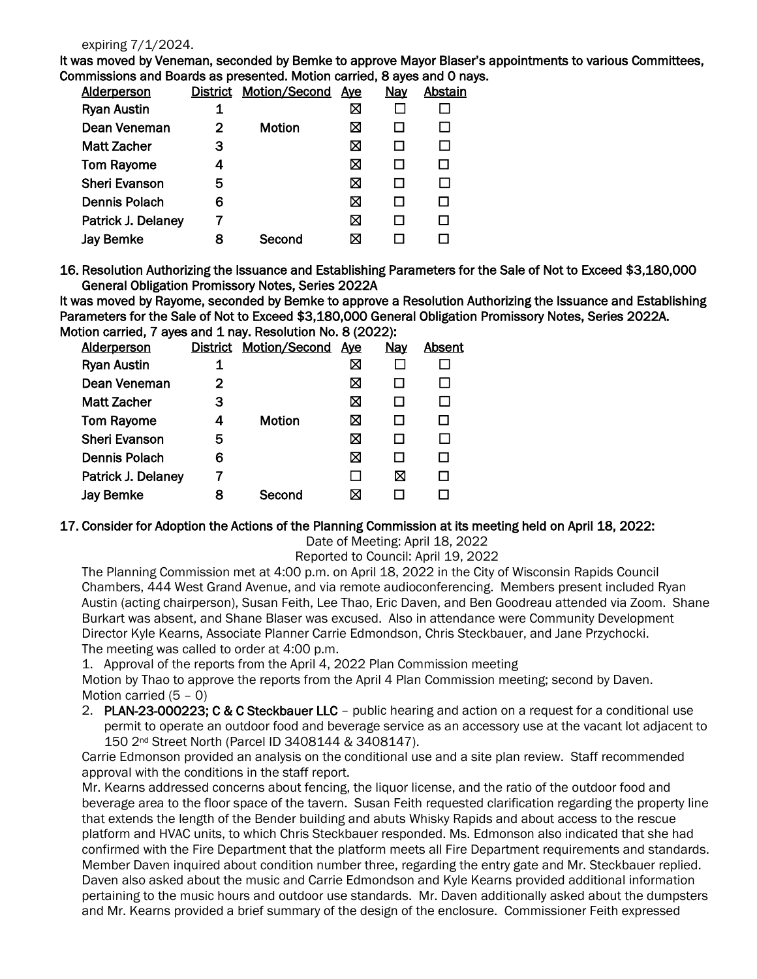#### expiring 7/1/2024.

It was moved by Veneman, seconded by Bemke to approve Mayor Blaser's appointments to various Committees, Commissions and Boards as presented. Motion carried, 8 ayes and 0 nays.

| <b>Alderperson</b>   | District | Motion/Second | <u>Aye</u> | Nay | Abstain |
|----------------------|----------|---------------|------------|-----|---------|
| <b>Ryan Austin</b>   |          |               | ⊠          |     |         |
| Dean Veneman         | 2        | <b>Motion</b> | ⊠          |     |         |
| <b>Matt Zacher</b>   | З        |               | ⊠          |     |         |
| <b>Tom Rayome</b>    | 4        |               | ⊠          |     | П       |
| <b>Sheri Evanson</b> | 5        |               | ⊠          |     |         |
| Dennis Polach        | 6        |               | ⊠          |     |         |
| Patrick J. Delaney   |          |               | ⊠          |     |         |
| <b>Jay Bemke</b>     | 8        | Second        | ⊠          |     |         |
|                      |          |               |            |     |         |

16. Resolution Authorizing the Issuance and Establishing Parameters for the Sale of Not to Exceed \$3,180,000 General Obligation Promissory Notes, Series 2022A

It was moved by Rayome, seconded by Bemke to approve a Resolution Authorizing the Issuance and Establishing Parameters for the Sale of Not to Exceed \$3,180,000 General Obligation Promissory Notes, Series 2022A. Motion carried. 7 aves and 1 nav. Resolution No. 8 (2022):

| <b>Alderperson</b>   | <b>District</b> | Motion/Second | <b>Aye</b> | <b>Nay</b> | <b>Absent</b> |
|----------------------|-----------------|---------------|------------|------------|---------------|
| <b>Ryan Austin</b>   | 1               |               | Χ          |            |               |
| Dean Veneman         | 2               |               | ⊠          |            |               |
| <b>Matt Zacher</b>   | з               |               | ⊠          |            |               |
| <b>Tom Rayome</b>    | 4               | Motion        | ⊠          |            |               |
| <b>Sheri Evanson</b> | 5               |               | ⊠          |            |               |
| <b>Dennis Polach</b> | 6               |               | ⊠          |            |               |
| Patrick J. Delaney   |                 |               |            | ⊠          |               |
| Jay Bemke            | 8               | Second        | ⋈          |            |               |
|                      |                 |               |            |            |               |

# 17. Consider for Adoption the Actions of the Planning Commission at its meeting held on April 18, 2022:

Date of Meeting: April 18, 2022

Reported to Council: April 19, 2022

The Planning Commission met at 4:00 p.m. on April 18, 2022 in the City of Wisconsin Rapids Council Chambers, 444 West Grand Avenue, and via remote audioconferencing. Members present included Ryan Austin (acting chairperson), Susan Feith, Lee Thao, Eric Daven, and Ben Goodreau attended via Zoom. Shane Burkart was absent, and Shane Blaser was excused. Also in attendance were Community Development Director Kyle Kearns, Associate Planner Carrie Edmondson, Chris Steckbauer, and Jane Przychocki. The meeting was called to order at 4:00 p.m.

1. Approval of the reports from the April 4, 2022 Plan Commission meeting

Motion by Thao to approve the reports from the April 4 Plan Commission meeting; second by Daven. Motion carried (5 – 0)

2. PLAN-23-000223; C & C Steckbauer LLC – public hearing and action on a request for a conditional use permit to operate an outdoor food and beverage service as an accessory use at the vacant lot adjacent to 150 2nd Street North (Parcel ID 3408144 & 3408147).

Carrie Edmonson provided an analysis on the conditional use and a site plan review. Staff recommended approval with the conditions in the staff report.

Mr. Kearns addressed concerns about fencing, the liquor license, and the ratio of the outdoor food and beverage area to the floor space of the tavern. Susan Feith requested clarification regarding the property line that extends the length of the Bender building and abuts Whisky Rapids and about access to the rescue platform and HVAC units, to which Chris Steckbauer responded. Ms. Edmonson also indicated that she had confirmed with the Fire Department that the platform meets all Fire Department requirements and standards. Member Daven inquired about condition number three, regarding the entry gate and Mr. Steckbauer replied. Daven also asked about the music and Carrie Edmondson and Kyle Kearns provided additional information pertaining to the music hours and outdoor use standards. Mr. Daven additionally asked about the dumpsters and Mr. Kearns provided a brief summary of the design of the enclosure. Commissioner Feith expressed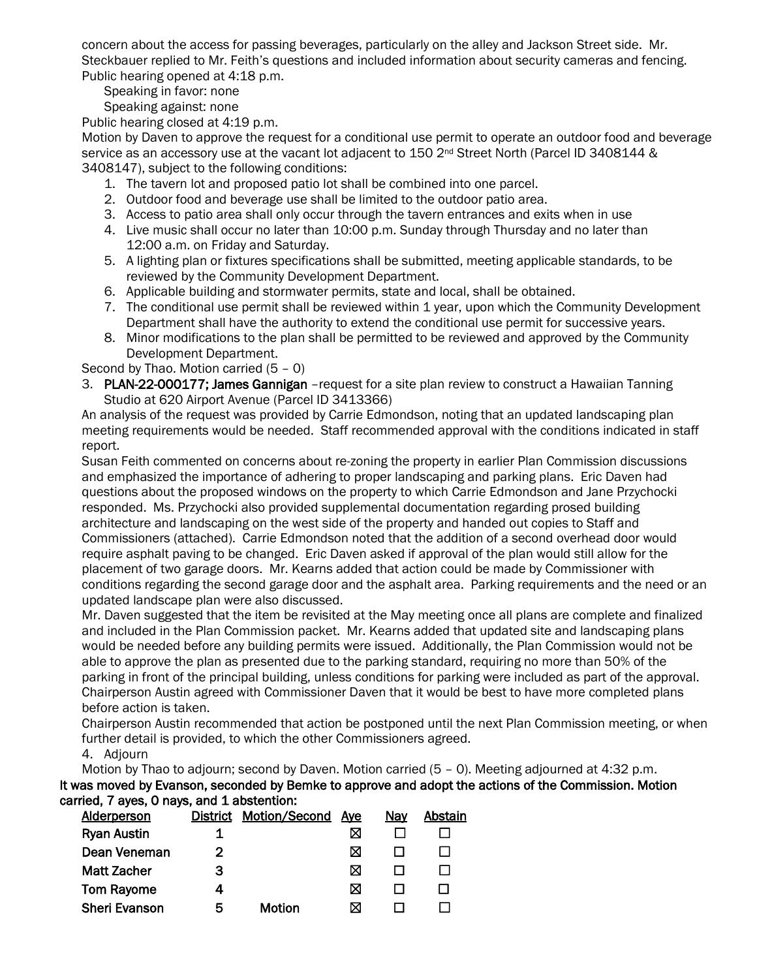concern about the access for passing beverages, particularly on the alley and Jackson Street side. Mr. Steckbauer replied to Mr. Feith's questions and included information about security cameras and fencing. Public hearing opened at 4:18 p.m.

Speaking in favor: none

Speaking against: none

Public hearing closed at 4:19 p.m.

Motion by Daven to approve the request for a conditional use permit to operate an outdoor food and beverage service as an accessory use at the vacant lot adjacent to 150 2<sup>nd</sup> Street North (Parcel ID 3408144 & 3408147), subject to the following conditions:

- 1. The tavern lot and proposed patio lot shall be combined into one parcel.
- 2. Outdoor food and beverage use shall be limited to the outdoor patio area.
- 3. Access to patio area shall only occur through the tavern entrances and exits when in use
- 4. Live music shall occur no later than 10:00 p.m. Sunday through Thursday and no later than 12:00 a.m. on Friday and Saturday.
- 5. A lighting plan or fixtures specifications shall be submitted, meeting applicable standards, to be reviewed by the Community Development Department.
- 6. Applicable building and stormwater permits, state and local, shall be obtained.
- 7. The conditional use permit shall be reviewed within 1 year, upon which the Community Development Department shall have the authority to extend the conditional use permit for successive years.
- 8. Minor modifications to the plan shall be permitted to be reviewed and approved by the Community Development Department.

Second by Thao. Motion carried (5 – 0)

3. PLAN-22-000177; James Gannigan – request for a site plan review to construct a Hawaiian Tanning Studio at 620 Airport Avenue (Parcel ID 3413366)

An analysis of the request was provided by Carrie Edmondson, noting that an updated landscaping plan meeting requirements would be needed. Staff recommended approval with the conditions indicated in staff report.

Susan Feith commented on concerns about re-zoning the property in earlier Plan Commission discussions and emphasized the importance of adhering to proper landscaping and parking plans. Eric Daven had questions about the proposed windows on the property to which Carrie Edmondson and Jane Przychocki responded. Ms. Przychocki also provided supplemental documentation regarding prosed building architecture and landscaping on the west side of the property and handed out copies to Staff and Commissioners (attached). Carrie Edmondson noted that the addition of a second overhead door would require asphalt paving to be changed. Eric Daven asked if approval of the plan would still allow for the placement of two garage doors. Mr. Kearns added that action could be made by Commissioner with conditions regarding the second garage door and the asphalt area. Parking requirements and the need or an updated landscape plan were also discussed.

Mr. Daven suggested that the item be revisited at the May meeting once all plans are complete and finalized and included in the Plan Commission packet. Mr. Kearns added that updated site and landscaping plans would be needed before any building permits were issued. Additionally, the Plan Commission would not be able to approve the plan as presented due to the parking standard, requiring no more than 50% of the parking in front of the principal building, unless conditions for parking were included as part of the approval. Chairperson Austin agreed with Commissioner Daven that it would be best to have more completed plans before action is taken.

Chairperson Austin recommended that action be postponed until the next Plan Commission meeting, or when further detail is provided, to which the other Commissioners agreed.

4. Adjourn

Motion by Thao to adjourn; second by Daven. Motion carried (5 – 0). Meeting adjourned at 4:32 p.m. It was moved by Evanson, seconded by Bemke to approve and adopt the actions of the Commission. Motion carried, 7 ayes, 0 nays, and 1 abstention:

| <b>Alderperson</b>   |   | District Motion/Second | Aye | Nay | Abstain |
|----------------------|---|------------------------|-----|-----|---------|
| <b>Ryan Austin</b>   |   |                        | ⊠   |     |         |
| Dean Veneman         |   |                        | ⋈   |     |         |
| <b>Matt Zacher</b>   | З |                        | ⊠   |     |         |
| <b>Tom Rayome</b>    |   |                        | ⊠   |     |         |
| <b>Sheri Evanson</b> | 5 | Motion                 | ⊠   |     |         |